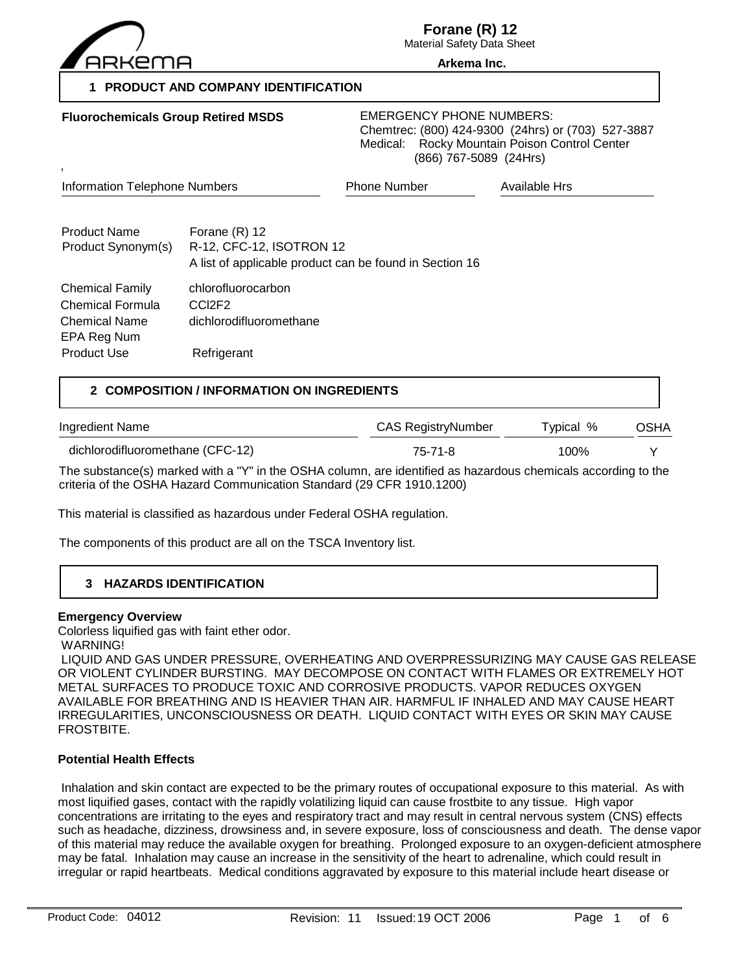

**Forane (R) 12**

Material Safety Data Sheet **Arkema Inc.**

**1 PRODUCT AND COMPANY IDENTIFICATION**

| <b>Fluorochemicals Group Retired MSDS</b><br>$\overline{\phantom{a}}$                    |                                                                     | <b>EMERGENCY PHONE NUMBERS:</b><br>Chemtrec: (800) 424-9300 (24hrs) or (703) 527-3887<br>Rocky Mountain Poison Control Center<br>Medical:<br>(866) 767-5089 (24Hrs) |               |  |
|------------------------------------------------------------------------------------------|---------------------------------------------------------------------|---------------------------------------------------------------------------------------------------------------------------------------------------------------------|---------------|--|
| <b>Information Telephone Numbers</b>                                                     |                                                                     | <b>Phone Number</b>                                                                                                                                                 | Available Hrs |  |
| <b>Product Name</b><br>Product Synonym(s)                                                | Forane $(R)$ 12<br>R-12, CFC-12, ISOTRON 12                         | A list of applicable product can be found in Section 16                                                                                                             |               |  |
| <b>Chemical Family</b><br><b>Chemical Formula</b><br><b>Chemical Name</b><br>EPA Reg Num | chlorofluorocarbon<br>CCI <sub>2F2</sub><br>dichlorodifluoromethane |                                                                                                                                                                     |               |  |
| <b>Product Use</b>                                                                       | Refrigerant                                                         |                                                                                                                                                                     |               |  |

## **2 COMPOSITION / INFORMATION ON INGREDIENTS**

| Ingredient Name                                  | CAS RegistryNumber | Tvpical % | OSHA |
|--------------------------------------------------|--------------------|-----------|------|
| dichlorodifluoromethane (CFC-12)                 | 75-71-8            | 100%      |      |
| TI II (I) II AMITA AARA I II AFITI II II II II A |                    |           |      |

The substance(s) marked with a "Y" in the OSHA column, are identified as hazardous chemicals according to the criteria of the OSHA Hazard Communication Standard (29 CFR 1910.1200)

This material is classified as hazardous under Federal OSHA regulation.

The components of this product are all on the TSCA Inventory list.

## **3 HAZARDS IDENTIFICATION**

#### **Emergency Overview**

Colorless liquified gas with faint ether odor.

WARNING!

 LIQUID AND GAS UNDER PRESSURE, OVERHEATING AND OVERPRESSURIZING MAY CAUSE GAS RELEASE OR VIOLENT CYLINDER BURSTING. MAY DECOMPOSE ON CONTACT WITH FLAMES OR EXTREMELY HOT METAL SURFACES TO PRODUCE TOXIC AND CORROSIVE PRODUCTS. VAPOR REDUCES OXYGEN AVAILABLE FOR BREATHING AND IS HEAVIER THAN AIR. HARMFUL IF INHALED AND MAY CAUSE HEART IRREGULARITIES, UNCONSCIOUSNESS OR DEATH. LIQUID CONTACT WITH EYES OR SKIN MAY CAUSE FROSTBITE.

## **Potential Health Effects**

 Inhalation and skin contact are expected to be the primary routes of occupational exposure to this material. As with most liquified gases, contact with the rapidly volatilizing liquid can cause frostbite to any tissue. High vapor concentrations are irritating to the eyes and respiratory tract and may result in central nervous system (CNS) effects such as headache, dizziness, drowsiness and, in severe exposure, loss of consciousness and death. The dense vapor of this material may reduce the available oxygen for breathing. Prolonged exposure to an oxygen-deficient atmosphere may be fatal. Inhalation may cause an increase in the sensitivity of the heart to adrenaline, which could result in irregular or rapid heartbeats. Medical conditions aggravated by exposure to this material include heart disease or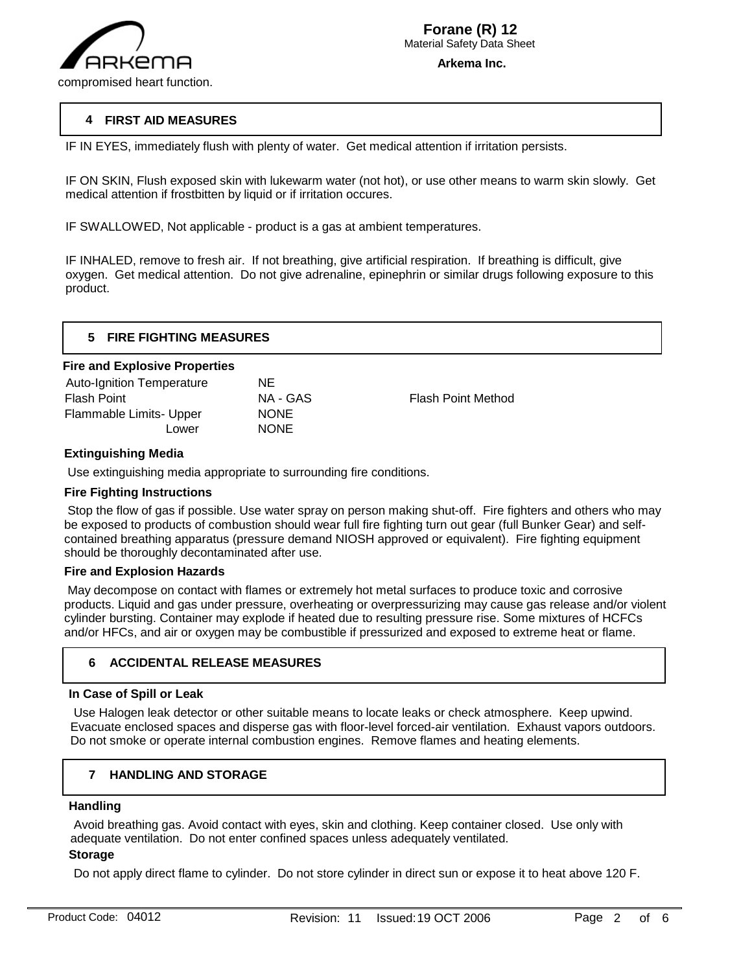

## **4 FIRST AID MEASURES**

IF IN EYES, immediately flush with plenty of water. Get medical attention if irritation persists.

IF ON SKIN, Flush exposed skin with lukewarm water (not hot), or use other means to warm skin slowly. Get medical attention if frostbitten by liquid or if irritation occures.

IF SWALLOWED, Not applicable - product is a gas at ambient temperatures.

IF INHALED, remove to fresh air. If not breathing, give artificial respiration. If breathing is difficult, give oxygen. Get medical attention. Do not give adrenaline, epinephrin or similar drugs following exposure to this product.

## **Fire and Explosive Properties**

| <b>Auto-Ignition Temperature</b> | NE.         |
|----------------------------------|-------------|
| <b>Flash Point</b>               | NA - GAS    |
| Flammable Limits- Upper          | <b>NONE</b> |
| Lower                            | <b>NONE</b> |
|                                  |             |

Flash Point Method

## **Extinguishing Media**

Use extinguishing media appropriate to surrounding fire conditions.

## **Fire Fighting Instructions**

 Stop the flow of gas if possible. Use water spray on person making shut-off. Fire fighters and others who may be exposed to products of combustion should wear full fire fighting turn out gear (full Bunker Gear) and selfcontained breathing apparatus (pressure demand NIOSH approved or equivalent). Fire fighting equipment should be thoroughly decontaminated after use.

## **Fire and Explosion Hazards**

 May decompose on contact with flames or extremely hot metal surfaces to produce toxic and corrosive products. Liquid and gas under pressure, overheating or overpressurizing may cause gas release and/or violent cylinder bursting. Container may explode if heated due to resulting pressure rise. Some mixtures of HCFCs and/or HFCs, and air or oxygen may be combustible if pressurized and exposed to extreme heat or flame.

## **6 ACCIDENTAL RELEASE MEASURES**

### **In Case of Spill or Leak**

 Use Halogen leak detector or other suitable means to locate leaks or check atmosphere. Keep upwind. Evacuate enclosed spaces and disperse gas with floor-level forced-air ventilation. Exhaust vapors outdoors. Do not smoke or operate internal combustion engines. Remove flames and heating elements.

#### **7 HANDLING AND STORAGE**

#### **Handling**

j

 Avoid breathing gas. Avoid contact with eyes, skin and clothing. Keep container closed. Use only with adequate ventilation. Do not enter confined spaces unless adequately ventilated.

## **Storage**

Do not apply direct flame to cylinder. Do not store cylinder in direct sun or expose it to heat above 120 F.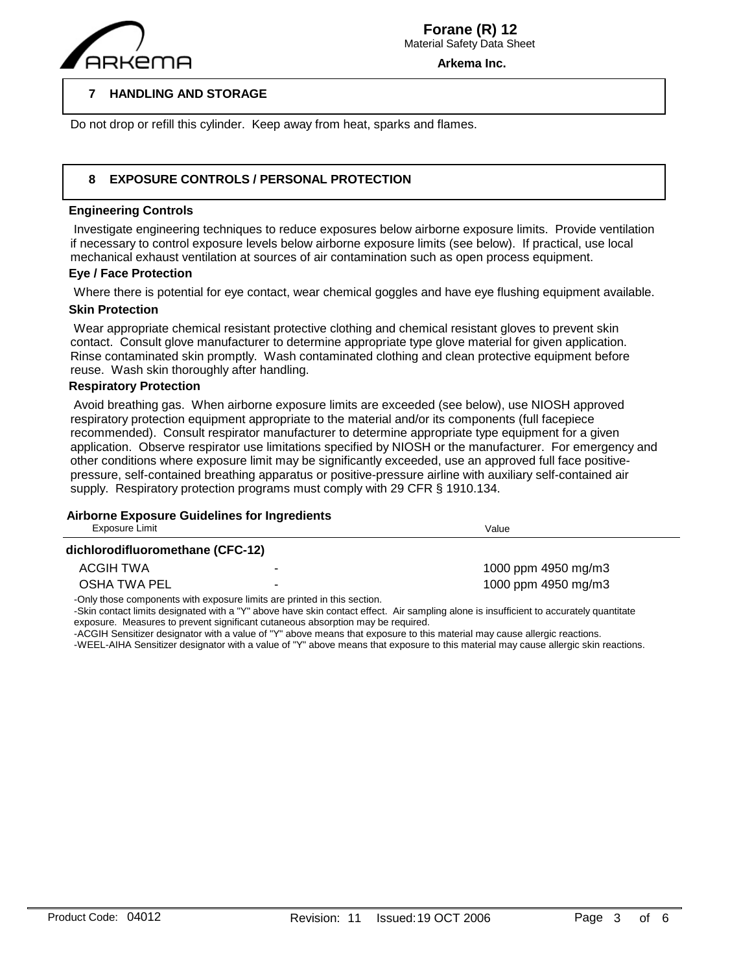

**Arkema Inc.**

#### **7 HANDLING AND STORAGE**

Do not drop or refill this cylinder. Keep away from heat, sparks and flames.

#### **8 EXPOSURE CONTROLS / PERSONAL PROTECTION**

## **Engineering Controls**

 $\overline{a}$ 

 Investigate engineering techniques to reduce exposures below airborne exposure limits. Provide ventilation if necessary to control exposure levels below airborne exposure limits (see below). If practical, use local mechanical exhaust ventilation at sources of air contamination such as open process equipment.

## **Eye / Face Protection**

Where there is potential for eye contact, wear chemical goggles and have eye flushing equipment available.

## **Skin Protection**

 Wear appropriate chemical resistant protective clothing and chemical resistant gloves to prevent skin contact. Consult glove manufacturer to determine appropriate type glove material for given application. Rinse contaminated skin promptly. Wash contaminated clothing and clean protective equipment before reuse. Wash skin thoroughly after handling.

## **Respiratory Protection**

 Avoid breathing gas. When airborne exposure limits are exceeded (see below), use NIOSH approved respiratory protection equipment appropriate to the material and/or its components (full facepiece recommended). Consult respirator manufacturer to determine appropriate type equipment for a given application. Observe respirator use limitations specified by NIOSH or the manufacturer. For emergency and other conditions where exposure limit may be significantly exceeded, use an approved full face positivepressure, self-contained breathing apparatus or positive-pressure airline with auxiliary self-contained air supply. Respiratory protection programs must comply with 29 CFR § 1910.134.

## **Airborne Exposure Guidelines for Ingredients**

| Exposure Limit                   |                                                                          | Value               |
|----------------------------------|--------------------------------------------------------------------------|---------------------|
| dichlorodifluoromethane (CFC-12) |                                                                          |                     |
| ACGIH TWA                        | -                                                                        | 1000 ppm 4950 mg/m3 |
| OSHA TWA PEL                     | -                                                                        | 1000 ppm 4950 mg/m3 |
|                                  | -Only those components with exposure limits are printed in this section. |                     |

-Skin contact limits designated with a "Y" above have skin contact effect. Air sampling alone is insufficient to accurately quantitate exposure. Measures to prevent significant cutaneous absorption may be required.

-ACGIH Sensitizer designator with a value of "Y" above means that exposure to this material may cause allergic reactions.

-WEEL-AIHA Sensitizer designator with a value of "Y" above means that exposure to this material may cause allergic skin reactions.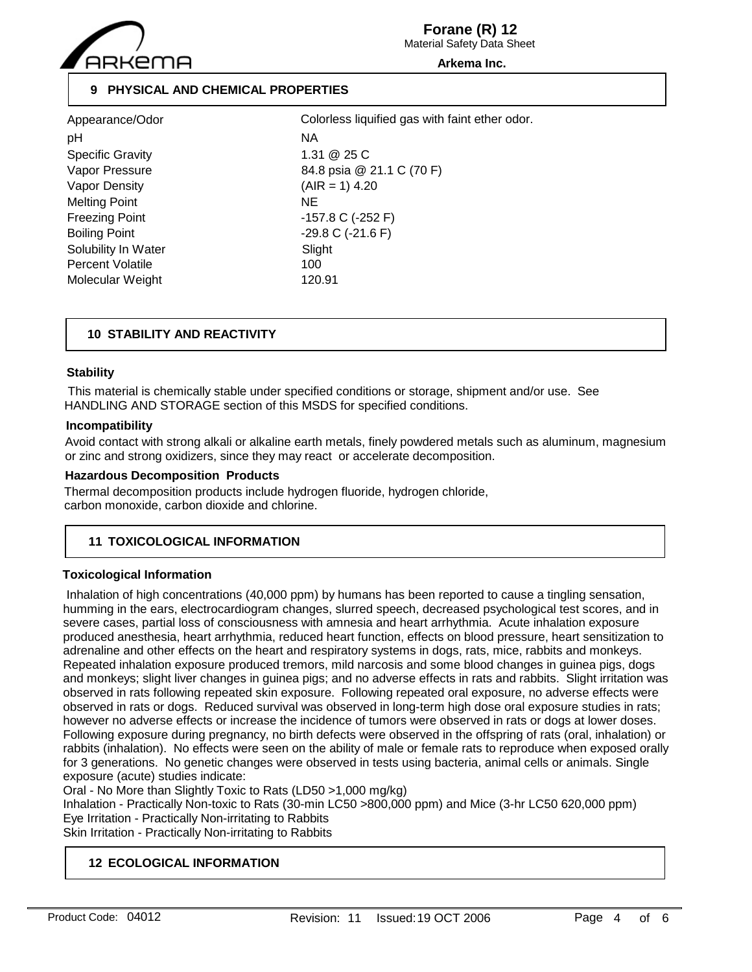

Material Safety Data Sheet **Forane (R) 12**

**Arkema Inc.**

## **9 PHYSICAL AND CHEMICAL PROPERTIES**

| Appearance/Odor         | Col    |
|-------------------------|--------|
| рH                      | NA.    |
| <b>Specific Gravity</b> | 1.31   |
| Vapor Pressure          | 84.8   |
| Vapor Density           | (AIF   |
| <b>Melting Point</b>    | NE     |
| <b>Freezing Point</b>   | -15.   |
| <b>Boiling Point</b>    | $-29.$ |
| Solubility In Water     | Slig   |
| <b>Percent Volatile</b> | 100    |
| Molecular Weight        | 120    |

1.31 @ 25 C 84.8 psia @ 21.1 C (70 F)  $(AIR = 1)$  4.20  $-157.8$  C (-252 F)  $-29.8$  C ( $-21.6$  F) Slight 120.91 Colorless liquified gas with faint ether odor.

## **10 STABILITY AND REACTIVITY**

## **Stability**

 This material is chemically stable under specified conditions or storage, shipment and/or use. See HANDLING AND STORAGE section of this MSDS for specified conditions.

## **Incompatibility**

Avoid contact with strong alkali or alkaline earth metals, finely powdered metals such as aluminum, magnesium or zinc and strong oxidizers, since they may react or accelerate decomposition.

## **Hazardous Decomposition Products**

Thermal decomposition products include hydrogen fluoride, hydrogen chloride, carbon monoxide, carbon dioxide and chlorine.

## **11 TOXICOLOGICAL INFORMATION**

## **Toxicological Information**

 Inhalation of high concentrations (40,000 ppm) by humans has been reported to cause a tingling sensation, humming in the ears, electrocardiogram changes, slurred speech, decreased psychological test scores, and in severe cases, partial loss of consciousness with amnesia and heart arrhythmia. Acute inhalation exposure produced anesthesia, heart arrhythmia, reduced heart function, effects on blood pressure, heart sensitization to adrenaline and other effects on the heart and respiratory systems in dogs, rats, mice, rabbits and monkeys. Repeated inhalation exposure produced tremors, mild narcosis and some blood changes in guinea pigs, dogs and monkeys; slight liver changes in guinea pigs; and no adverse effects in rats and rabbits. Slight irritation was observed in rats following repeated skin exposure. Following repeated oral exposure, no adverse effects were observed in rats or dogs. Reduced survival was observed in long-term high dose oral exposure studies in rats; however no adverse effects or increase the incidence of tumors were observed in rats or dogs at lower doses. Following exposure during pregnancy, no birth defects were observed in the offspring of rats (oral, inhalation) or rabbits (inhalation). No effects were seen on the ability of male or female rats to reproduce when exposed orally for 3 generations. No genetic changes were observed in tests using bacteria, animal cells or animals. Single exposure (acute) studies indicate:

Oral - No More than Slightly Toxic to Rats (LD50 >1,000 mg/kg)

Inhalation - Practically Non-toxic to Rats (30-min LC50 >800,000 ppm) and Mice (3-hr LC50 620,000 ppm) Eye Irritation - Practically Non-irritating to Rabbits

Skin Irritation - Practically Non-irritating to Rabbits

## **12 ECOLOGICAL INFORMATION**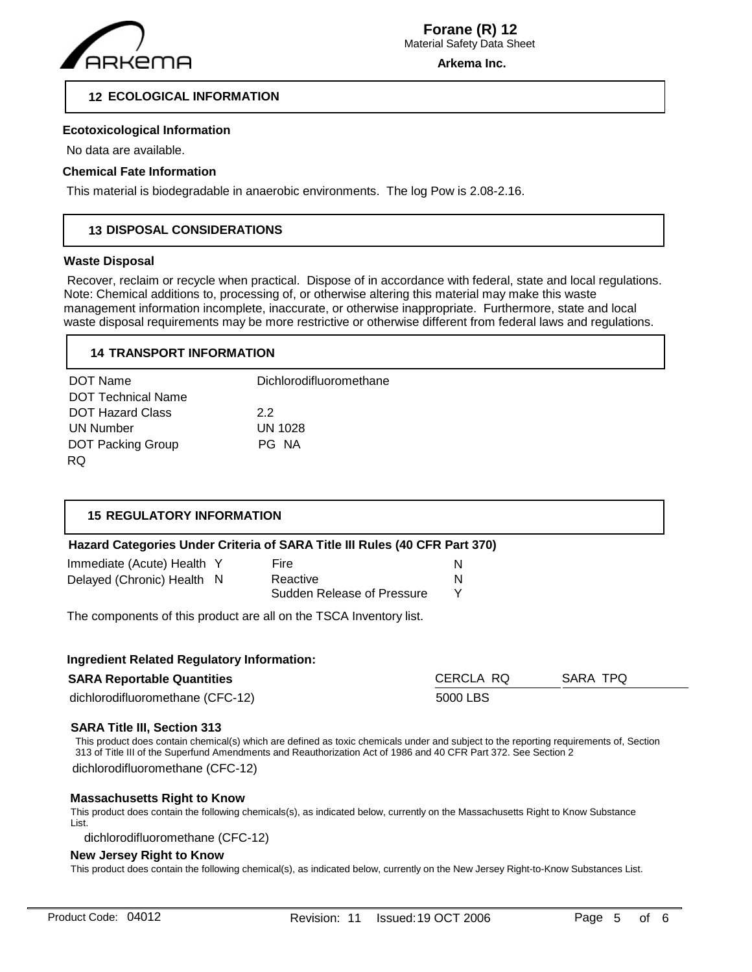

**Arkema Inc.**

## **12 ECOLOGICAL INFORMATION**

## **Ecotoxicological Information**

No data are available.

### **Chemical Fate Information**

This material is biodegradable in anaerobic environments. The log Pow is 2.08-2.16.

## **13 DISPOSAL CONSIDERATIONS**

#### **Waste Disposal**

 Recover, reclaim or recycle when practical. Dispose of in accordance with federal, state and local regulations. Note: Chemical additions to, processing of, or otherwise altering this material may make this waste management information incomplete, inaccurate, or otherwise inappropriate. Furthermore, state and local waste disposal requirements may be more restrictive or otherwise different from federal laws and regulations.

## **14 TRANSPORT INFORMATION**

| DOT Name                  | Dichlorodifluoromethane |
|---------------------------|-------------------------|
| <b>DOT Technical Name</b> |                         |
| <b>DOT Hazard Class</b>   | 22                      |
| UN Number                 | UN 1028                 |
| <b>DOT Packing Group</b>  | PG NA                   |
| RQ.                       |                         |

## **15 REGULATORY INFORMATION**

## **Hazard Categories Under Criteria of SARA Title III Rules (40 CFR Part 370)**

| Immediate (Acute) Health Y | <b>Fire</b>                |  |
|----------------------------|----------------------------|--|
| Delayed (Chronic) Health N | Reactive                   |  |
|                            | Sudden Release of Pressure |  |

The components of this product are all on the TSCA Inventory list.

| <b>Ingredient Related Regulatory Information:</b> |           |          |  |
|---------------------------------------------------|-----------|----------|--|
| <b>SARA Reportable Quantities</b>                 | CERCLA RQ | SARA TPQ |  |
| dichlorodifluoromethane (CFC-12)                  | 5000 LBS  |          |  |

#### **SARA Title III, Section 313**

This product does contain chemical(s) which are defined as toxic chemicals under and subject to the reporting requirements of, Section 313 of Title III of the Superfund Amendments and Reauthorization Act of 1986 and 40 CFR Part 372. See Section 2

dichlorodifluoromethane (CFC-12)

#### **Massachusetts Right to Know**

This product does contain the following chemicals(s), as indicated below, currently on the Massachusetts Right to Know Substance List.

dichlorodifluoromethane (CFC-12)

## **New Jersey Right to Know**

This product does contain the following chemical(s), as indicated below, currently on the New Jersey Right-to-Know Substances List.